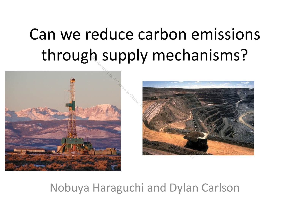## Can we reduce carbon emissions through supply mechanisms?





#### Nobuya Haraguchi and Dylan Carlson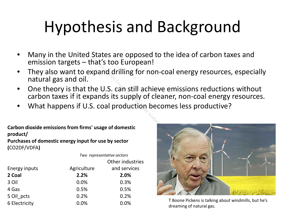## Hypothesis and Background

- Many in the United States are opposed to the idea of carbon taxes and emission targets – that's too European!
- They also want to expand drilling for non-coal energy resources, especially natural gas and oil. States are opposed to the idea of<br>that's too European!<br>xpand drilling for non-coal energ<br>the U.S. can still achieve emission<br>pands its supply of cleaner, non-c<br>S. coal production becomes less p<br>s' usage of domestic<br>for use
- One theory is that the U.S. can still achieve emissions reductions without carbon taxes if it expands its supply of cleaner, non-coal energy resources.
- What happens if U.S. coal production becomes less productive?

**Carbon dioxide emissions from firms' usage of domestic product/ Purchases of domestic energy input for use by sector (**CO2DF/VDFA**)**

*Two representative sectors*

|               |             | Other industries |
|---------------|-------------|------------------|
| Energy inputs | Agriculture | and services     |
| 2 Coal        | 2.2%        | 2.0%             |
| 3 Oil         | 0.0%        | 0.3%             |
| 4 Gas         | 0.5%        | 0.5%             |
| 5 Oil pcts    | 0.2%        | 0.2%             |
| 6 Electricity | 0.0%        | 0.0%             |



T Boone Pickens is talking about windmills, but he's dreaming of natural gas.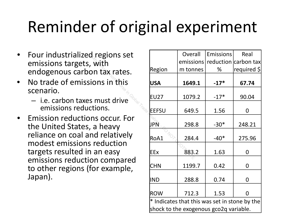## Reminder of original experiment

- Four industrialized regions set emissions targets, with endogenous carbon tax rates.
- No trade of emissions in this scenario.
	- i.e. carbon taxes must drive emissions reductions.
- Emission reductions occur. For the United States, a heavy reliance on coal and relatively modest emissions reduction targets resulted in an easy emissions reduction compared to other regions (for example, Japan).

| d <sub>regions</sub> set    |                                                             | Overall  | <b>Emissions</b> | Real                           |  |  |  |
|-----------------------------|-------------------------------------------------------------|----------|------------------|--------------------------------|--|--|--|
| . with                      |                                                             |          |                  | emissions reduction carbon tax |  |  |  |
| on tax rates.               | Region                                                      | m tonnes | %                | required \$                    |  |  |  |
| ions in this                | <b>USA</b>                                                  | 1649.1   | $-17*$           | 67.74                          |  |  |  |
| s must drive                | <b>EU27</b>                                                 | 1079.2   | $-17*$           | 90.04                          |  |  |  |
| ctions.                     | <b>IEEFSU</b>                                               | 649.5    | 1.56             | $\overline{0}$                 |  |  |  |
| ns occur. For<br>, a heavy  | JPÑ                                                         | 298.8    | $-30*$           | 248.21                         |  |  |  |
| nd relatively               | RoA1                                                        | 284.4    | $-40*$           | 275.96                         |  |  |  |
| $s$ reduction<br>an easy    | EEx                                                         | 883.2    | 1.63             | $\overline{0}$                 |  |  |  |
| on compared<br>for example, | <b>CHN</b>                                                  | 1199.7   | 0.42             | $\overline{0}$                 |  |  |  |
|                             | <b>IND</b>                                                  | 288.8    | 0.74             | $\overline{0}$                 |  |  |  |
|                             | <b>ROW</b>                                                  | 712.3    | 1.53             | $\Omega$                       |  |  |  |
|                             | $*$ Indicates that this was set in stone by the $\mathsf I$ |          |                  |                                |  |  |  |

 $*$  Indicates that this was set in stone by the shock to the exogenous gco2q variable.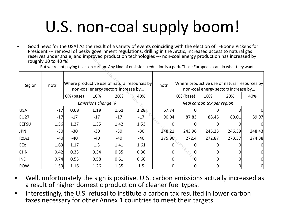# U.S. non-coal supply boom!

- Good news for the USA! As the result of a variety of events coinciding with the election of T-Boone Pickens for President --- removal of pesky government regulations, drilling in the Arctic, increased access to natural gas reserves under shale, and improved production technologies --- non-coal energy production has increased by roughly 10 to 40 %!
	- But we're not paying taxes on carbon. Any kind of emissions reduction is a perk. Those Europeans can do what they want.

|              | roughly 10 to 40 %! | reserves under shale, and improved production technologies --- non-coal energy production has increased by<br>But we're not paying taxes on carbon. Any kind of emissions reduction is a perk. Those Europeans can do what they want. |       |       |                   |                                                                                                         |        |                                   |        |        |
|--------------|---------------------|---------------------------------------------------------------------------------------------------------------------------------------------------------------------------------------------------------------------------------------|-------|-------|-------------------|---------------------------------------------------------------------------------------------------------|--------|-----------------------------------|--------|--------|
| Region       | notr                | Where productive use of natural resources by<br>non-coal energy sectors increase by                                                                                                                                                   |       |       | notr              | Where productive use of natural resources by<br>non-coal energy sectors increase by<br>0% (base)<br>20% |        |                                   |        |        |
|              |                     | 0% (base)<br>20%<br>10%<br>40%<br>Emissions change %                                                                                                                                                                                  |       |       |                   |                                                                                                         |        | 10%<br>Real carbon tax per region |        | 40%    |
| <b>USA</b>   | $-17$               | 0.68                                                                                                                                                                                                                                  | 1.19  | 1.61  | 2.28 <sub>6</sub> | 67.74                                                                                                   |        |                                   |        |        |
| EU27         | $-17$               | $-17$                                                                                                                                                                                                                                 | $-17$ | $-17$ | $-17$             | 90.04                                                                                                   | 87.83  | 88.45                             | 89.01  | 89.97  |
| <b>EEFSU</b> | 1.56                | 1.27                                                                                                                                                                                                                                  | 1.35  | 1.42  | 1.53              |                                                                                                         |        |                                   |        |        |
| <b>JPN</b>   | $-30$               | $-30$                                                                                                                                                                                                                                 | $-30$ | $-30$ | $-30$             | 248.21                                                                                                  | 243.96 | 245.23                            | 246.39 | 248.43 |
| RoA1         | $-40$               | -40                                                                                                                                                                                                                                   | -40   | -40   | $-40$             | 275.96                                                                                                  | 272.4  | 272.87                            | 273.37 | 274.38 |
| <b>EEx</b>   | 1.63                | 1.17                                                                                                                                                                                                                                  | 1.3   | 1.41  | 1.61              |                                                                                                         |        |                                   |        |        |
| <b>CHN</b>   | 0.42                | 0.33                                                                                                                                                                                                                                  | 0.34  | 0.35  | 0.36              |                                                                                                         |        |                                   |        |        |
| <b>IND</b>   | 0.74                | 0.55                                                                                                                                                                                                                                  | 0.58  | 0.61  | 0.66              |                                                                                                         |        |                                   |        |        |
| ROW          | 1.53                | 1.16                                                                                                                                                                                                                                  | 1.26  | 1.35  | 1.5               |                                                                                                         |        |                                   |        | 0      |

- Well, unfortunately the sign is positive. U.S. carbon emissions actually increased as a result of higher domestic production of cleaner fuel types.
- Interestingly, the U.S. refusal to institute a carbon tax resulted in lower carbon taxes necessary for other Annex 1 countries to meet their targets.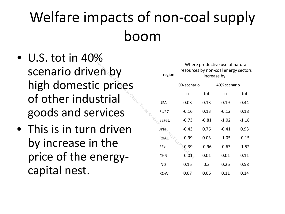#### Welfare impacts of non-coal supply boom

- $\bullet$  U.S. tot in 40% scenario driven by high domestic prices of other industrial goods and services
- This is in turn driven by increase in the price of the energycapital nest.

| ven by    | Where productive use of natural<br>resources by non-coal energy sectors<br>region<br>increase by |             |         |              |         |  |  |
|-----------|--------------------------------------------------------------------------------------------------|-------------|---------|--------------|---------|--|--|
| ic prices |                                                                                                  | 0% scenario |         | 40% scenario |         |  |  |
|           |                                                                                                  | u           | tot     | u            | tot     |  |  |
| ustrial   | <b>USA</b>                                                                                       | 0.03        | 0.13    | 0.19         | 0.44    |  |  |
| ervices   | <b>EU27</b>                                                                                      | $-0.16$     | 0.13    | $-0.12$      | 0.18    |  |  |
|           | EEFSU                                                                                            | $-0.73$     | $-0.81$ | $-1.02$      | $-1.18$ |  |  |
| n driven  | <b>JPN</b>                                                                                       | $-0.43$     | 0.76    | $-0.41$      | 0.93    |  |  |
| in the    | RoA1                                                                                             | $-0.99$     | 0.03    | $-1.05$      | $-0.15$ |  |  |
|           | EEx                                                                                              | 0.39        | $-0.96$ | $-0.63$      | $-1.52$ |  |  |
| energy-   | <b>CHN</b>                                                                                       | $-0.01$     | 0.01    | 0.01         | 0.11    |  |  |
|           | <b>IND</b>                                                                                       | 0.15        | 0.3     | 0.26         | 0.58    |  |  |
|           | <b>ROW</b>                                                                                       | 0.07        | 0.06    | 0.11         | 0.14    |  |  |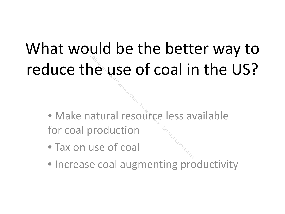# What would be the better way to reduce the use of coal in the US?

• Make natural resource less available for coal production 2012 The Annual Service ISS and Annual Transporting less and Dunner Course ISS and Dunner Course of coal

- Tax on use of coal
- Increase coal augmenting productivity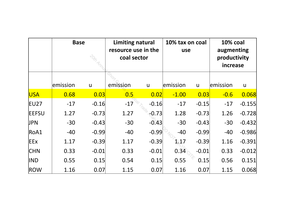|              | <b>Base</b><br>$\stackrel{\rightarrow}{\sim}_{\sim}$ |              | <b>Limiting natural</b><br>resource use in the<br>coal sector |              | 10% tax on coal<br>use |              | <b>10% coal</b><br>augmenting<br>productivity<br>increase |              |
|--------------|------------------------------------------------------|--------------|---------------------------------------------------------------|--------------|------------------------|--------------|-----------------------------------------------------------|--------------|
|              | emission                                             | $\mathsf{u}$ | emission                                                      | $\mathsf{u}$ | emission               | $\mathsf{u}$ | emission                                                  | $\mathsf{u}$ |
| <b>USA</b>   | 0.68                                                 | 0.03         | $\overline{0.5}$                                              | 0.02         | $-1.00$                | 0.03         | $-0.6$                                                    | 0.068        |
| EU27         | $-17$                                                | $-0.16$      | $-17$                                                         | $-0.16$      | $-17$                  | $-0.15$      | $-17$                                                     | $-0.155$     |
| <b>EEFSU</b> | 1.27                                                 | $-0.73$      | 1.27                                                          | $-0.73$      | 1.28                   | $-0.73$      | 1.26                                                      | $-0.728$     |
| JPN          | $-30$                                                | $-0.43$      | $-30$                                                         | $-0.43$      | $-30$                  | $-0.43$      | $-30$                                                     | $-0.432$     |
| ROA1         | $-40$                                                | $-0.99$      | $-40$                                                         | $-0.99$      | $-40$                  | $-0.99$      | $-40$                                                     | $-0.986$     |
| EEx          | 1.17                                                 | $-0.39$      | 1.17                                                          | $-0.39$      | $\mathcal{Q}$ .17      | $-0.39$      | 1.16                                                      | $-0.391$     |
| <b>CHN</b>   | 0.33                                                 | $-0.01$      | 0.33                                                          | $-0.01$      | 0.34                   | $-0.01$      | 0.33                                                      | $-0.012$     |
| IND          | 0.55                                                 | 0.15         | 0.54                                                          | 0.15         | 0.55                   | 0.15         | 0.56                                                      | 0.151        |
| ROW          | 1.16                                                 | 0.07         | 1.15                                                          | 0.07         | 1.16                   | 0.07         | 1.15                                                      | 0.068        |